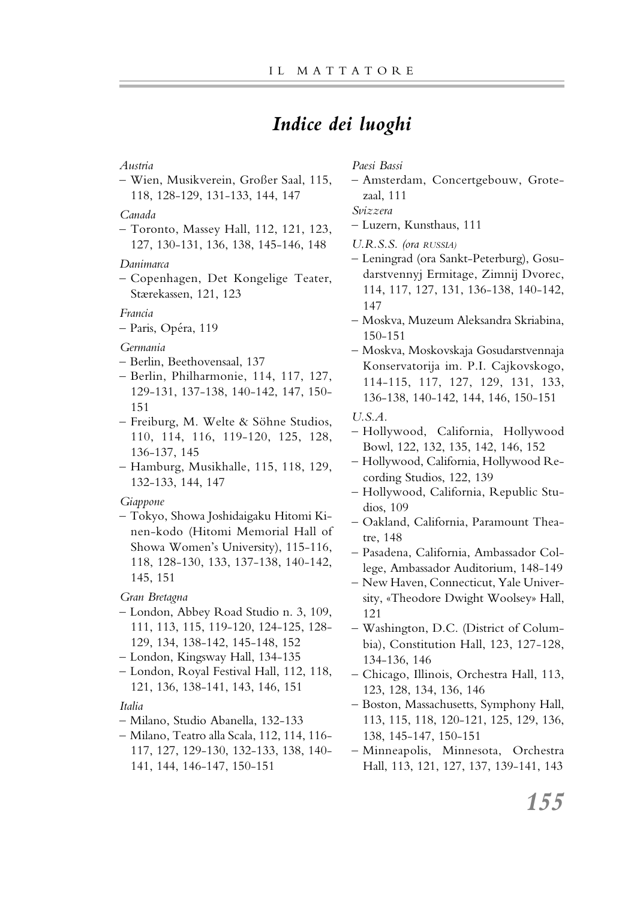## *Indice dei luoghi*

### *Austria*

– Wien, Musikverein, Großer Saal, 115, 118, 128-129, 131-133, 144, 147

### *Canada*

– Toronto, Massey Hall, 112, 121, 123, 127, 130-131, 136, 138, 145-146, 148

### *Danimarca*

– Copenhagen, Det Kongelige Teater, Stærekassen, 121, 123

### *Francia*

– Paris, Opéra, 119

### *Germania*

- Berlin, Beethovensaal, 137
- Berlin, Philharmonie, 114, 117, 127, 129-131, 137-138, 140-142, 147, 150- 151
- Freiburg, M. Welte & Söhne Studios, 110, 114, 116, 119-120, 125, 128, 136-137, 145
- Hamburg, Musikhalle, 115, 118, 129, 132-133, 144, 147

### *Giappone*

– Tokyo, Showa Joshidaigaku Hitomi Kinen-kodo (Hitomi Memorial Hall of Showa Women's University), 115-116, 118, 128-130, 133, 137-138, 140-142, 145, 151

### *Gran Bretagna*

- London, Abbey Road Studio n. 3, 109, 111, 113, 115, 119-120, 124-125, 128- 129, 134, 138-142, 145-148, 152
- London, Kingsway Hall, 134-135
- London, Royal Festival Hall, 112, 118, 121, 136, 138-141, 143, 146, 151

### *Italia*

- Milano, Studio Abanella, 132-133
- Milano, Teatro alla Scala, 112, 114, 116- 117, 127, 129-130, 132-133, 138, 140- 141, 144, 146-147, 150-151

*Paesi Bassi*

– Amsterdam, Concertgebouw, Grotezaal, 111

*Svizzera*

- Luzern, Kunsthaus, 111
- *U.R.S.S. (ora RUSSIA)*
- Leningrad (ora Sankt-Peterburg), Gosudarstvennyj Ermitage, Zimnij Dvorec, 114, 117, 127, 131, 136-138, 140-142, 147
- Moskva, Muzeum Aleksandra Skriabina, 150-151
- Moskva, Moskovskaja Gosudarstvennaja Konservatorija im. P.I. Cajkovskogo, 114-115, 117, 127, 129, 131, 133, 136-138, 140-142, 144, 146, 150-151

### *U.S.A.*

- Hollywood, California, Hollywood Bowl, 122, 132, 135, 142, 146, 152
- Hollywood, California, Hollywood Recording Studios, 122, 139
- Hollywood, California, Republic Studios, 109
- Oakland, California, Paramount Theatre, 148
- Pasadena, California, Ambassador College, Ambassador Auditorium, 148-149
- New Haven, Connecticut, Yale University, «Theodore Dwight Woolsey» Hall, 121
- Washington, D.C. (District of Columbia), Constitution Hall, 123, 127-128, 134-136, 146
- Chicago, Illinois, Orchestra Hall, 113, 123, 128, 134, 136, 146
- Boston, Massachusetts, Symphony Hall, 113, 115, 118, 120-121, 125, 129, 136, 138, 145-147, 150-151
- Minneapolis, Minnesota, Orchestra Hall, 113, 121, 127, 137, 139-141, 143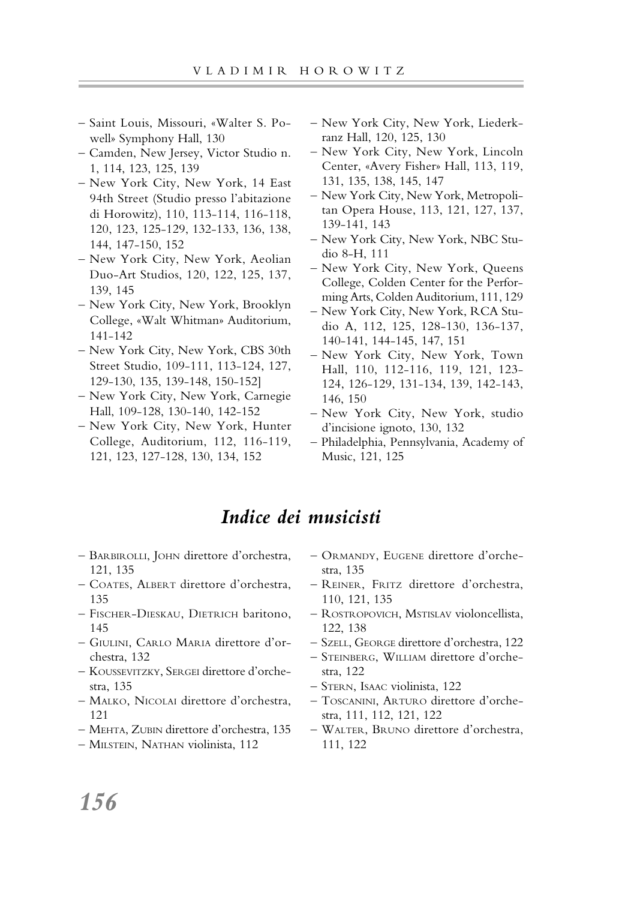- Saint Louis, Missouri, «Walter S. Powell» Symphony Hall, 130
- Camden, New Jersey, Victor Studio n. 1, 114, 123, 125, 139
- New York City, New York, 14 East 94th Street (Studio presso l'abitazione di Horowitz), 110, 113-114, 116-118, 120, 123, 125-129, 132-133, 136, 138, 144, 147-150, 152
- New York City, New York, Aeolian Duo-Art Studios, 120, 122, 125, 137, 139, 145
- New York City, New York, Brooklyn College, «Walt Whitman» Auditorium, 141-142
- New York City, New York, CBS 30th Street Studio, 109-111, 113-124, 127, 129-130, 135, 139-148, 150-152]
- New York City, New York, Carnegie Hall, 109-128, 130-140, 142-152
- New York City, New York, Hunter College, Auditorium, 112, 116-119, 121, 123, 127-128, 130, 134, 152
- New York City, New York, Liederkranz Hall, 120, 125, 130
- New York City, New York, Lincoln Center, «Avery Fisher» Hall, 113, 119, 131, 135, 138, 145, 147
- New York City, New York, Metropolitan Opera House, 113, 121, 127, 137, 139-141, 143
- New York City, New York, NBC Studio 8-H, 111
- New York City, New York, Queens College, Colden Center for the Performing Arts, Colden Auditorium, 111, 129
- New York City, New York, RCA Studio A, 112, 125, 128-130, 136-137, 140-141, 144-145, 147, 151
- New York City, New York, Town Hall, 110, 112-116, 119, 121, 123- 124, 126-129, 131-134, 139, 142-143, 146, 150
- New York City, New York, studio d'incisione ignoto, 130, 132
- Philadelphia, Pennsylvania, Academy of Music, 121, 125

### *Indice dei musicisti*

- BARBIROLLI, JOHN direttore d'orchestra, 121, 135
- COATES, ALBERT direttore d'orchestra, 135
- FISCHER-DIESKAU, DIETRICH baritono, 145
- GIULINI, CARLO MARIA direttore d'orchestra, 132
- KOUSSEVITZKY, SERGEI direttore d'orchestra, 135
- MALKO, NICOLAI direttore d'orchestra, 121
- MEHTA, ZUBIN direttore d'orchestra, 135
- MILSTEIN, NATHAN violinista, 112
- ORMANDY, EUGENE direttore d'orchestra, 135
- REINER, FRITZ direttore d'orchestra, 110, 121, 135
- ROSTROPOVICH, MSTISLAV violoncellista, 122, 138
- SZELL, GEORGE direttore d'orchestra, 122
- STEINBERG, WILLIAM direttore d'orchestra, 122
- STERN, ISAAC violinista, 122
- TOSCANINI, ARTURO direttore d'orchestra, 111, 112, 121, 122
- WALTER, BRUNO direttore d'orchestra, 111, 122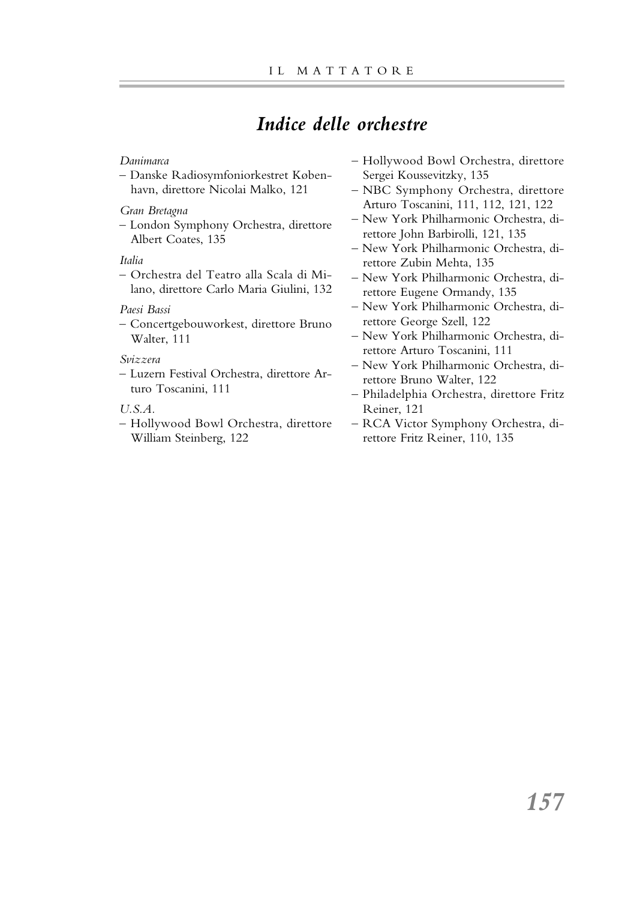# *Indice delle orchestre*

### *Danimarca*

– Danske Radiosymfoniorkestret København, direttore Nicolai Malko, 121

### *Gran Bretagna*

– London Symphony Orchestra, direttore Albert Coates, 135

### *Italia*

– Orchestra del Teatro alla Scala di Milano, direttore Carlo Maria Giulini, 132

### *Paesi Bassi*

– Concertgebouworkest, direttore Bruno Walter, 111

### *Svizzera*

– Luzern Festival Orchestra, direttore Arturo Toscanini, 111

### *U.S.A.*

– Hollywood Bowl Orchestra, direttore William Steinberg, 122

- Hollywood Bowl Orchestra, direttore Sergei Koussevitzky, 135
- NBC Symphony Orchestra, direttore Arturo Toscanini, 111, 112, 121, 122
- New York Philharmonic Orchestra, direttore John Barbirolli, 121, 135
- New York Philharmonic Orchestra, direttore Zubin Mehta, 135
- New York Philharmonic Orchestra, direttore Eugene Ormandy, 135
- New York Philharmonic Orchestra, direttore George Szell, 122
- New York Philharmonic Orchestra, direttore Arturo Toscanini, 111
- New York Philharmonic Orchestra, direttore Bruno Walter, 122
- Philadelphia Orchestra, direttore Fritz Reiner, 121
- RCA Victor Symphony Orchestra, direttore Fritz Reiner, 110, 135